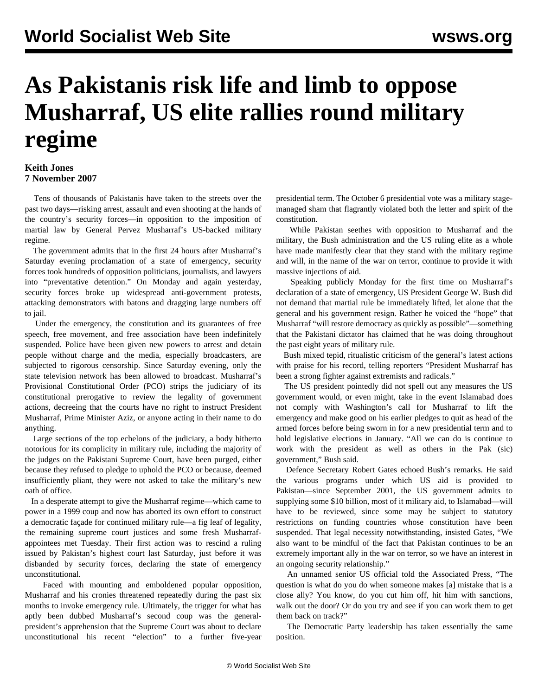## **As Pakistanis risk life and limb to oppose Musharraf, US elite rallies round military regime**

## **Keith Jones 7 November 2007**

 Tens of thousands of Pakistanis have taken to the streets over the past two days—risking arrest, assault and even shooting at the hands of the country's security forces—in opposition to the imposition of martial law by General Pervez Musharraf's US-backed military regime.

 The government admits that in the first 24 hours after Musharraf's Saturday evening proclamation of a state of emergency, security forces took hundreds of opposition politicians, journalists, and lawyers into "preventative detention." On Monday and again yesterday, security forces broke up widespread anti-government protests, attacking demonstrators with batons and dragging large numbers off to jail.

 Under the emergency, the constitution and its guarantees of free speech, free movement, and free association have been indefinitely suspended. Police have been given new powers to arrest and detain people without charge and the media, especially broadcasters, are subjected to rigorous censorship. Since Saturday evening, only the state television network has been allowed to broadcast. Musharraf's Provisional Constitutional Order (PCO) strips the judiciary of its constitutional prerogative to review the legality of government actions, decreeing that the courts have no right to instruct President Musharraf, Prime Minister Aziz, or anyone acting in their name to do anything.

 Large sections of the top echelons of the judiciary, a body hitherto notorious for its complicity in military rule, including the majority of the judges on the Pakistani Supreme Court, have been purged, either because they refused to pledge to uphold the PCO or because, deemed insufficiently pliant, they were not asked to take the military's new oath of office.

 In a desperate attempt to give the Musharraf regime—which came to power in a 1999 coup and now has aborted its own effort to construct a democratic façade for continued military rule—a fig leaf of legality, the remaining supreme court justices and some fresh Musharrafappointees met Tuesday. Their first action was to rescind a ruling issued by Pakistan's highest court last Saturday, just before it was disbanded by security forces, declaring the state of emergency unconstitutional.

 Faced with mounting and emboldened popular opposition, Musharraf and his cronies threatened repeatedly during the past six months to invoke emergency rule. Ultimately, the trigger for what has aptly been dubbed Musharraf's second coup was the generalpresident's apprehension that the Supreme Court was about to declare unconstitutional his recent "election" to a further five-year presidential term. The October 6 presidential vote was a military stagemanaged sham that flagrantly violated both the letter and spirit of the constitution.

 While Pakistan seethes with opposition to Musharraf and the military, the Bush administration and the US ruling elite as a whole have made manifestly clear that they stand with the military regime and will, in the name of the war on terror, continue to provide it with massive injections of aid.

 Speaking publicly Monday for the first time on Musharraf's declaration of a state of emergency, US President George W. Bush did not demand that martial rule be immediately lifted, let alone that the general and his government resign. Rather he voiced the "hope" that Musharraf "will restore democracy as quickly as possible"—something that the Pakistani dictator has claimed that he was doing throughout the past eight years of military rule.

 Bush mixed tepid, ritualistic criticism of the general's latest actions with praise for his record, telling reporters "President Musharraf has been a strong fighter against extremists and radicals."

 The US president pointedly did not spell out any measures the US government would, or even might, take in the event Islamabad does not comply with Washington's call for Musharraf to lift the emergency and make good on his earlier pledges to quit as head of the armed forces before being sworn in for a new presidential term and to hold legislative elections in January. "All we can do is continue to work with the president as well as others in the Pak (sic) government," Bush said.

 Defence Secretary Robert Gates echoed Bush's remarks. He said the various programs under which US aid is provided to Pakistan—since September 2001, the US government admits to supplying some \$10 billion, most of it military aid, to Islamabad—will have to be reviewed, since some may be subject to statutory restrictions on funding countries whose constitution have been suspended. That legal necessity notwithstanding, insisted Gates, "We also want to be mindful of the fact that Pakistan continues to be an extremely important ally in the war on terror, so we have an interest in an ongoing security relationship."

 An unnamed senior US official told the Associated Press, "The question is what do you do when someone makes [a] mistake that is a close ally? You know, do you cut him off, hit him with sanctions, walk out the door? Or do you try and see if you can work them to get them back on track?"

 The Democratic Party leadership has taken essentially the same position.